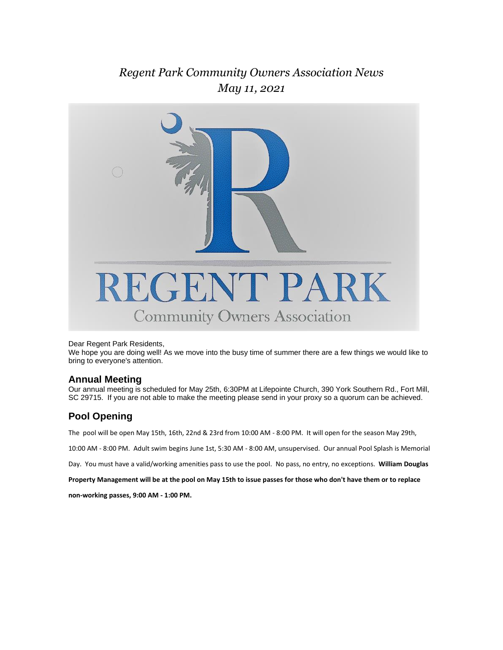### *Regent Park Community Owners Association News May 11, 2021*



#### Dear Regent Park Residents,

We hope you are doing well! As we move into the busy time of summer there are a few things we would like to bring to everyone's attention.

#### **Annual Meeting**

Our annual meeting is scheduled for May 25th, 6:30PM at Lifepointe Church, 390 York Southern Rd., Fort Mill, SC 29715. If you are not able to make the meeting please send in your proxy so a quorum can be achieved.

#### **Pool Opening**

The pool will be open May 15th, 16th, 22nd & 23rd from 10:00 AM - 8:00 PM. It will open for the season May 29th,

10:00 AM - 8:00 PM. Adult swim begins June 1st, 5:30 AM - 8:00 AM, unsupervised. Our annual Pool Splash is Memorial

Day. You must have a valid/working amenities pass to use the pool. No pass, no entry, no exceptions. **William Douglas** 

**Property Management will be at the pool on May 15th to issue passes for those who don't have them or to replace** 

**non-working passes, 9:00 AM - 1:00 PM.**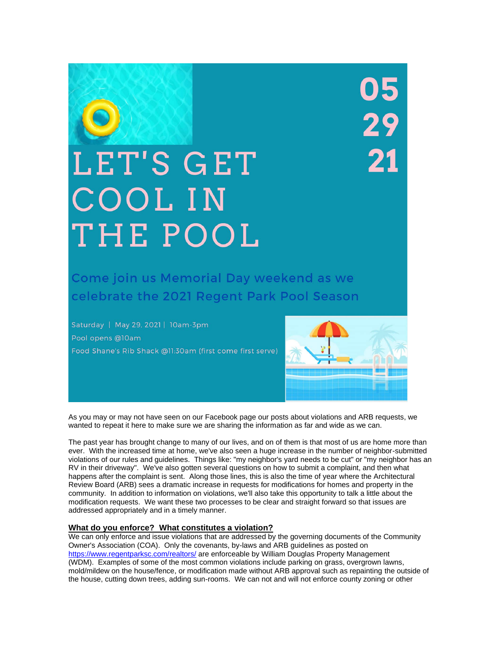# 05<br>29  $\frac{1}{21}$

## LET'S GET COOL IN THE POOL

Come join us Memorial Day weekend as we celebrate the 2021 Regent Park Pool Season

Saturday | May 29, 2021 | 10am-3pm Pool opens @10am Food Shane's Rib Shack @11:30am (first come first serve)



As you may or may not have seen on our Facebook page our posts about violations and ARB requests, we wanted to repeat it here to make sure we are sharing the information as far and wide as we can.

The past year has brought change to many of our lives, and on of them is that most of us are home more than ever. With the increased time at home, we've also seen a huge increase in the number of neighbor-submitted violations of our rules and guidelines. Things like: "my neighbor's yard needs to be cut" or "my neighbor has an RV in their driveway". We've also gotten several questions on how to submit a complaint, and then what happens after the complaint is sent. Along those lines, this is also the time of year where the Architectural Review Board (ARB) sees a dramatic increase in requests for modifications for homes and property in the community. In addition to information on violations, we'll also take this opportunity to talk a little about the modification requests. We want these two processes to be clear and straight forward so that issues are addressed appropriately and in a timely manner.

#### **What do you enforce? What constitutes a violation?**

We can only enforce and issue violations that are addressed by the governing documents of the Community Owner's Association (COA). Only the covenants, by-laws and ARB guidelines as posted on <https://www.regentparksc.com/realtors/> are enforceable by William Douglas Property Management (WDM). Examples of some of the most common violations include parking on grass, overgrown lawns, mold/mildew on the house/fence, or modification made without ARB approval such as repainting the outside of the house, cutting down trees, adding sun-rooms. We can not and will not enforce county zoning or other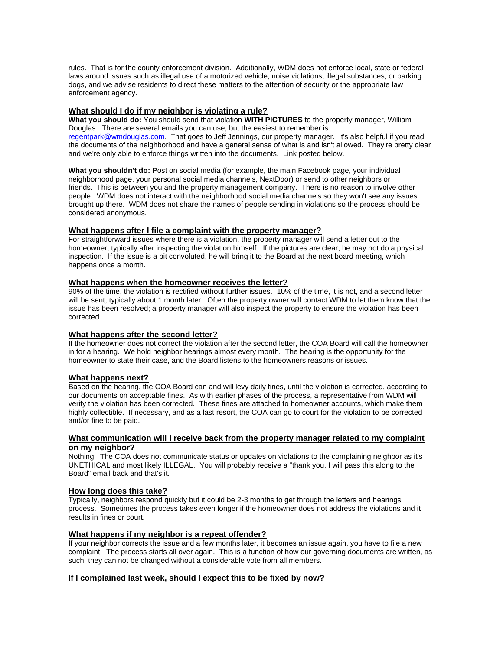rules. That is for the county enforcement division. Additionally, WDM does not enforce local, state or federal laws around issues such as illegal use of a motorized vehicle, noise violations, illegal substances, or barking dogs, and we advise residents to direct these matters to the attention of security or the appropriate law enforcement agency.

#### **What should I do if my neighbor is violating a rule?**

**What you should do:** You should send that violation **WITH PICTURES** to the property manager, William Douglas. There are several emails you can use, but the easiest to remember is [regentpark@wmdouglas.com.](mailto:regentpark@wmdouglas.com) That goes to Jeff Jennings, our property manager. It's also helpful if you read the documents of the neighborhood and have a general sense of what is and isn't allowed. They're pretty clear and we're only able to enforce things written into the documents. Link posted below.

**What you shouldn't do:** Post on social media (for example, the main Facebook page, your individual neighborhood page, your personal social media channels, NextDoor) or send to other neighbors or friends. This is between you and the property management company. There is no reason to involve other people. WDM does not interact with the neighborhood social media channels so they won't see any issues brought up there. WDM does not share the names of people sending in violations so the process should be considered anonymous.

#### **What happens after I file a complaint with the property manager?**

For straightforward issues where there is a violation, the property manager will send a letter out to the homeowner, typically after inspecting the violation himself. If the pictures are clear, he may not do a physical inspection. If the issue is a bit convoluted, he will bring it to the Board at the next board meeting, which happens once a month.

#### **What happens when the homeowner receives the letter?**

90% of the time, the violation is rectified without further issues. 10% of the time, it is not, and a second letter will be sent, typically about 1 month later. Often the property owner will contact WDM to let them know that the issue has been resolved; a property manager will also inspect the property to ensure the violation has been corrected.

#### **What happens after the second letter?**

If the homeowner does not correct the violation after the second letter, the COA Board will call the homeowner in for a hearing. We hold neighbor hearings almost every month. The hearing is the opportunity for the homeowner to state their case, and the Board listens to the homeowners reasons or issues.

#### **What happens next?**

Based on the hearing, the COA Board can and will levy daily fines, until the violation is corrected, according to our documents on acceptable fines. As with earlier phases of the process, a representative from WDM will verify the violation has been corrected. These fines are attached to homeowner accounts, which make them highly collectible. If necessary, and as a last resort, the COA can go to court for the violation to be corrected and/or fine to be paid.

#### **What communication will I receive back from the property manager related to my complaint on my neighbor?**

Nothing. The COA does not communicate status or updates on violations to the complaining neighbor as it's UNETHICAL and most likely ILLEGAL. You will probably receive a "thank you, I will pass this along to the Board" email back and that's it.

#### **How long does this take?**

Typically, neighbors respond quickly but it could be 2-3 months to get through the letters and hearings process. Sometimes the process takes even longer if the homeowner does not address the violations and it results in fines or court.

#### **What happens if my neighbor is a repeat offender?**

If your neighbor corrects the issue and a few months later, it becomes an issue again, you have to file a new complaint. The process starts all over again. This is a function of how our governing documents are written, as such, they can not be changed without a considerable vote from all members.

#### **If I complained last week, should I expect this to be fixed by now?**